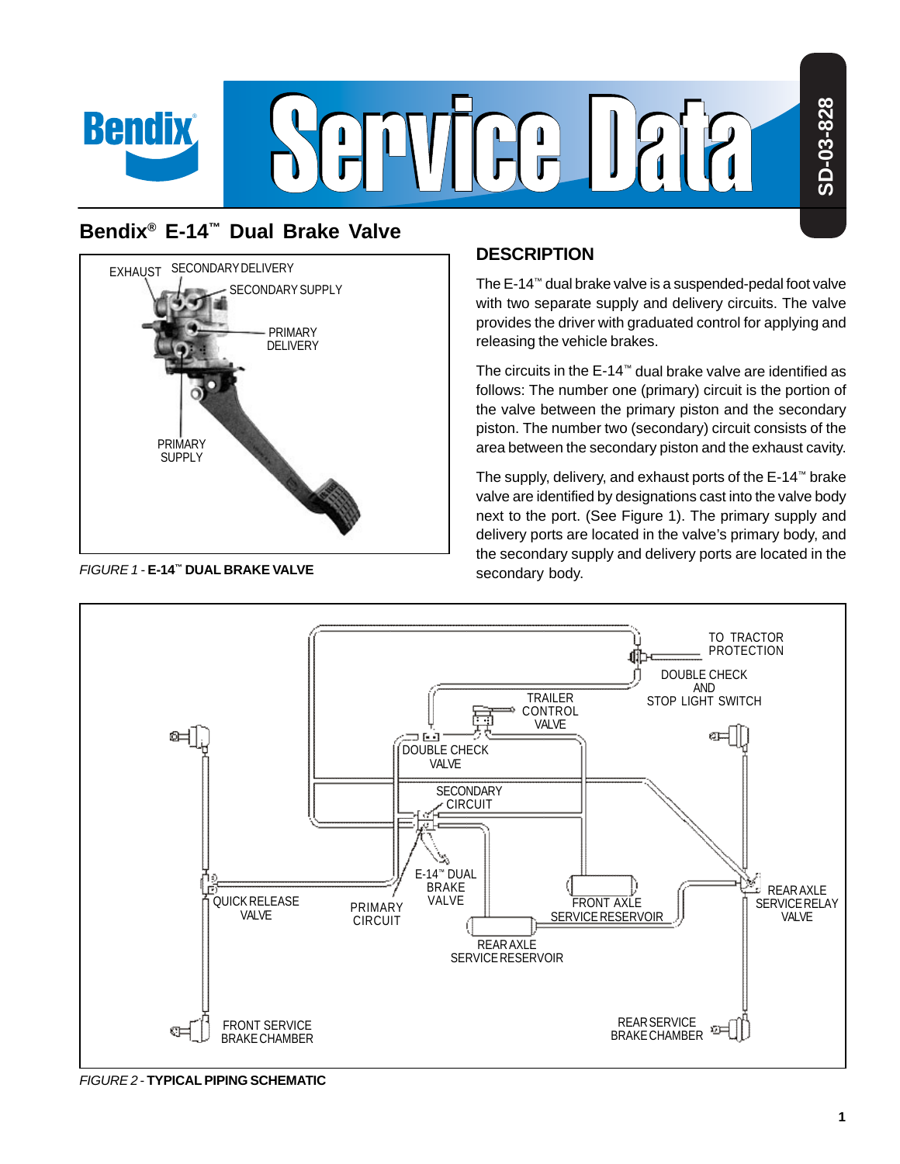

# **Bendix® E-14™ Dual Brake Valve**



FIGURE 1 - **E-14™ DUAL BRAKE VALVE**

## **DESCRIPTION**

The E-14™ dual brake valve is a suspended-pedal foot valve with two separate supply and delivery circuits. The valve provides the driver with graduated control for applying and releasing the vehicle brakes.

The circuits in the E-14™ dual brake valve are identified as follows: The number one (primary) circuit is the portion of the valve between the primary piston and the secondary piston. The number two (secondary) circuit consists of the area between the secondary piston and the exhaust cavity.

The supply, delivery, and exhaust ports of the E-14™ brake valve are identified by designations cast into the valve body next to the port. (See Figure 1). The primary supply and delivery ports are located in the valve's primary body, and the secondary supply and delivery ports are located in the secondary body.



FIGURE 2 - **TYPICAL PIPING SCHEMATIC**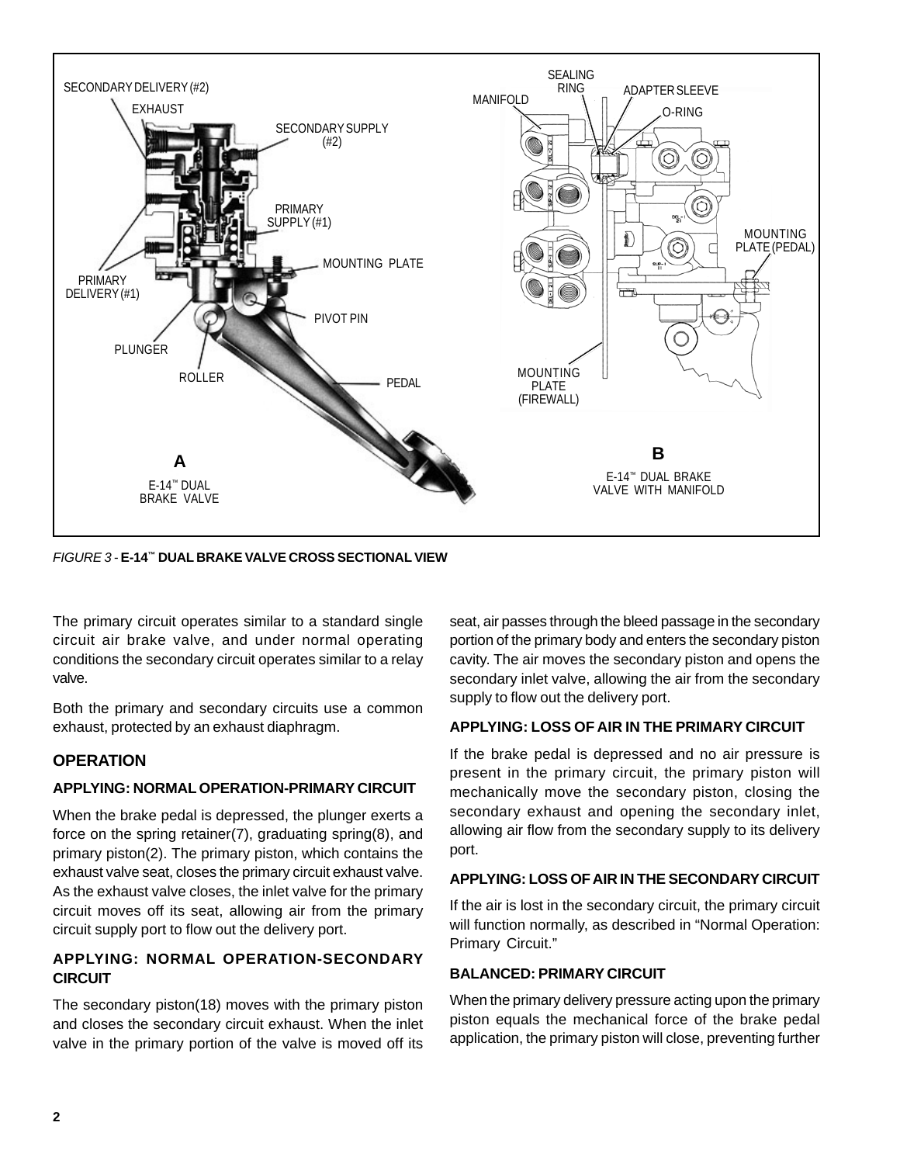

FIGURE 3 - **E-14™ DUAL BRAKE VALVE CROSS SECTIONAL VIEW**

The primary circuit operates similar to a standard single circuit air brake valve, and under normal operating conditions the secondary circuit operates similar to a relay valve.

Both the primary and secondary circuits use a common exhaust, protected by an exhaust diaphragm.

### **OPERATION**

#### **APPLYING: NORMAL OPERATION-PRIMARY CIRCUIT**

When the brake pedal is depressed, the plunger exerts a force on the spring retainer(7), graduating spring(8), and primary piston(2). The primary piston, which contains the exhaust valve seat, closes the primary circuit exhaust valve. As the exhaust valve closes, the inlet valve for the primary circuit moves off its seat, allowing air from the primary circuit supply port to flow out the delivery port.

#### **APPLYING: NORMAL OPERATION-SECONDARY CIRCUIT**

The secondary piston(18) moves with the primary piston and closes the secondary circuit exhaust. When the inlet valve in the primary portion of the valve is moved off its

seat, air passes through the bleed passage in the secondary portion of the primary body and enters the secondary piston cavity. The air moves the secondary piston and opens the secondary inlet valve, allowing the air from the secondary supply to flow out the delivery port.

#### **APPLYING: LOSS OF AIR IN THE PRIMARY CIRCUIT**

If the brake pedal is depressed and no air pressure is present in the primary circuit, the primary piston will mechanically move the secondary piston, closing the secondary exhaust and opening the secondary inlet, allowing air flow from the secondary supply to its delivery port.

#### **APPLYING: LOSS OF AIR IN THE SECONDARY CIRCUIT**

If the air is lost in the secondary circuit, the primary circuit will function normally, as described in "Normal Operation: Primary Circuit."

#### **BALANCED: PRIMARY CIRCUIT**

When the primary delivery pressure acting upon the primary piston equals the mechanical force of the brake pedal application, the primary piston will close, preventing further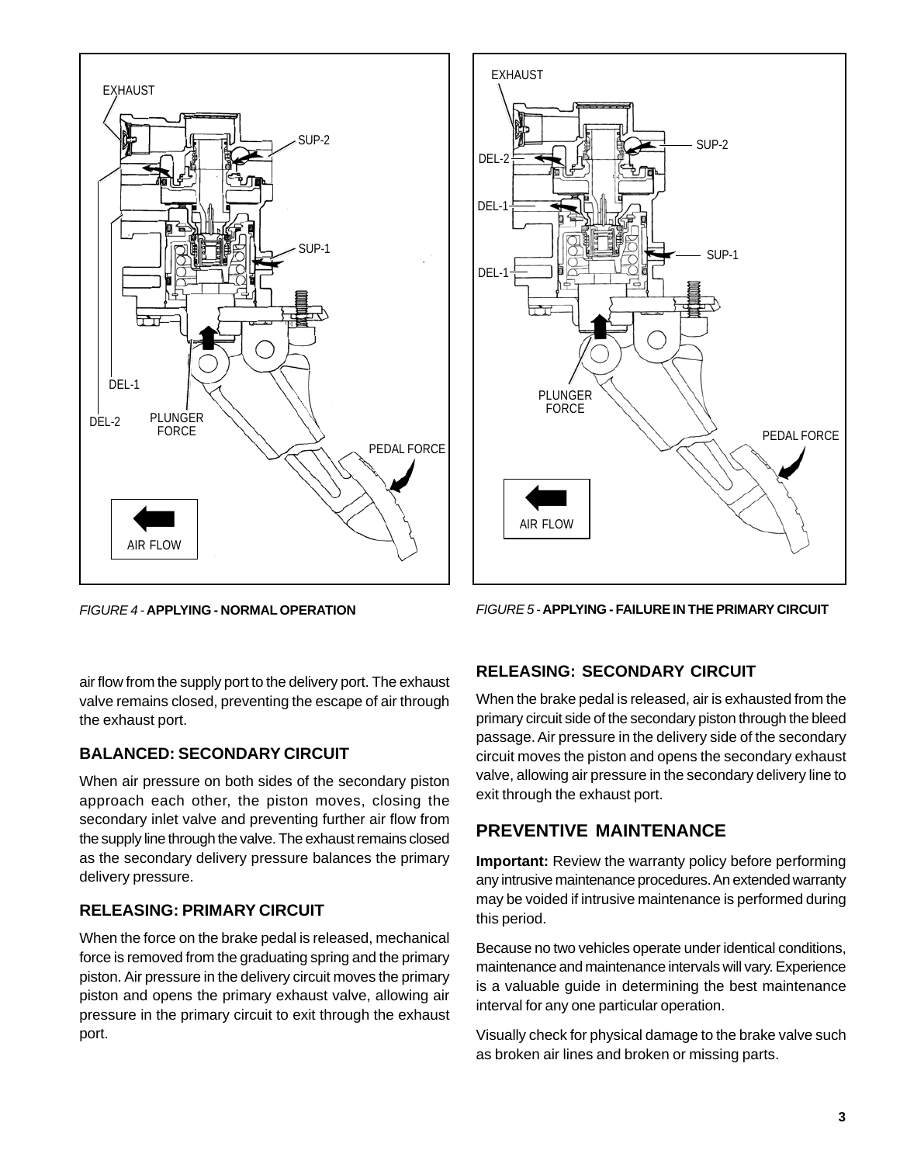



FIGURE 4 - **APPLYING - NORMAL OPERATION** FIGURE 5 - **APPLYING - FAILURE IN THE PRIMARY CIRCUIT**

air flow from the supply port to the delivery port. The exhaust valve remains closed, preventing the escape of air through the exhaust port.

## **BALANCED: SECONDARY CIRCUIT**

When air pressure on both sides of the secondary piston approach each other, the piston moves, closing the secondary inlet valve and preventing further air flow from the supply line through the valve. The exhaust remains closed as the secondary delivery pressure balances the primary delivery pressure.

# **RELEASING: PRIMARY CIRCUIT**

When the force on the brake pedal is released, mechanical force is removed from the graduating spring and the primary piston. Air pressure in the delivery circuit moves the primary piston and opens the primary exhaust valve, allowing air pressure in the primary circuit to exit through the exhaust port.

# **RELEASING: SECONDARY CIRCUIT**

When the brake pedal is released, air is exhausted from the primary circuit side of the secondary piston through the bleed passage. Air pressure in the delivery side of the secondary circuit moves the piston and opens the secondary exhaust valve, allowing air pressure in the secondary delivery line to exit through the exhaust port.

# **PREVENTIVE MAINTENANCE**

**Important:** Review the warranty policy before performing any intrusive maintenance procedures. An extended warranty may be voided if intrusive maintenance is performed during this period.

Because no two vehicles operate under identical conditions, maintenance and maintenance intervals will vary. Experience is a valuable guide in determining the best maintenance interval for any one particular operation.

Visually check for physical damage to the brake valve such as broken air lines and broken or missing parts.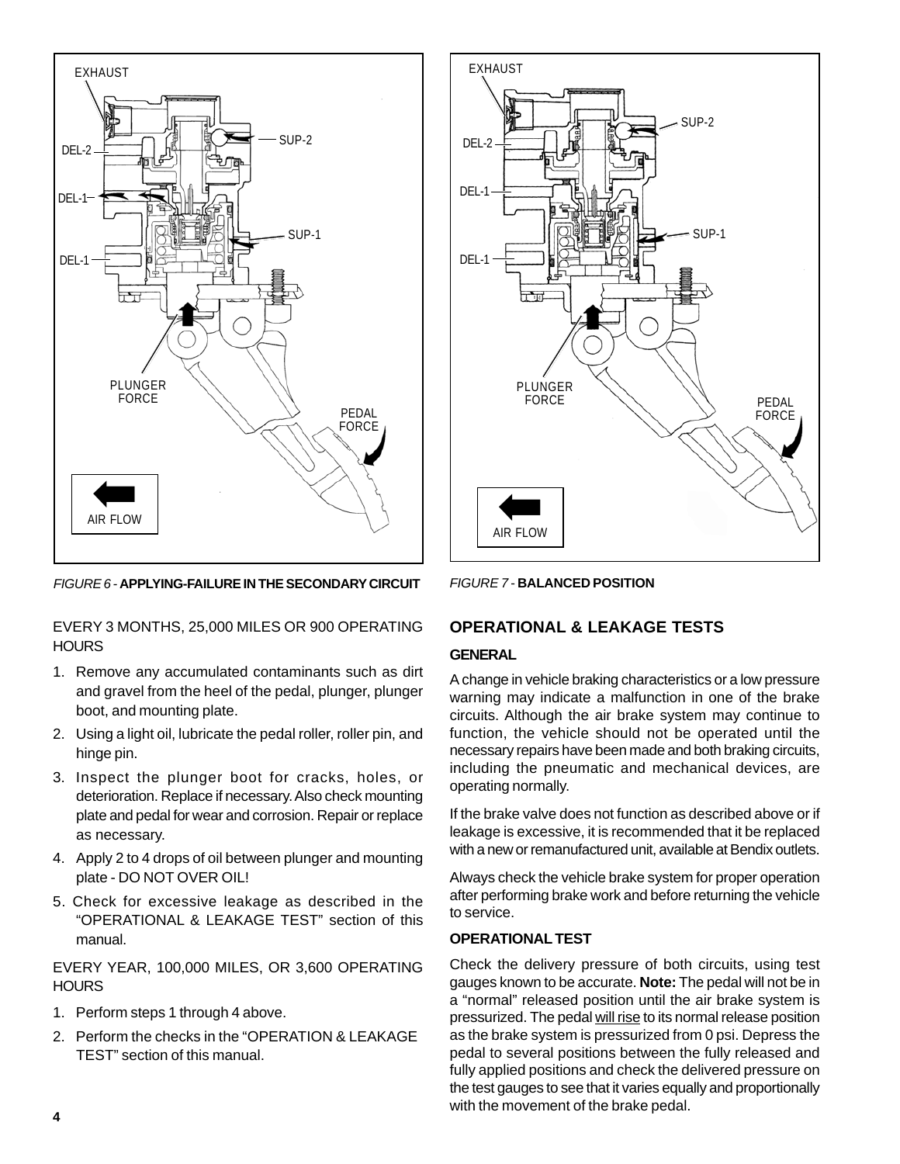

FIGURE 6 - **APPLYING-FAILURE IN THE SECONDARY CIRCUIT**

EVERY 3 MONTHS, 25,000 MILES OR 900 OPERATING **HOURS** 

- 1. Remove any accumulated contaminants such as dirt and gravel from the heel of the pedal, plunger, plunger boot, and mounting plate.
- 2. Using a light oil, lubricate the pedal roller, roller pin, and hinge pin.
- 3. Inspect the plunger boot for cracks, holes, or deterioration. Replace if necessary. Also check mounting plate and pedal for wear and corrosion. Repair or replace as necessary.
- 4. Apply 2 to 4 drops of oil between plunger and mounting plate - DO NOT OVER OIL!
- 5. Check for excessive leakage as described in the "OPERATIONAL & LEAKAGE TEST" section of this manual.

EVERY YEAR, 100,000 MILES, OR 3,600 OPERATING **HOURS** 

- 1. Perform steps 1 through 4 above.
- 2. Perform the checks in the "OPERATION & LEAKAGE TEST" section of this manual.



FIGURE 7 - **BALANCED POSITION**

## **OPERATIONAL & LEAKAGE TESTS**

#### **GENERAL**

A change in vehicle braking characteristics or a low pressure warning may indicate a malfunction in one of the brake circuits. Although the air brake system may continue to function, the vehicle should not be operated until the necessary repairs have been made and both braking circuits, including the pneumatic and mechanical devices, are operating normally.

If the brake valve does not function as described above or if leakage is excessive, it is recommended that it be replaced with a new or remanufactured unit, available at Bendix outlets.

Always check the vehicle brake system for proper operation after performing brake work and before returning the vehicle to service.

#### **OPERATIONAL TEST**

Check the delivery pressure of both circuits, using test gauges known to be accurate. **Note:** The pedal will not be in a "normal" released position until the air brake system is pressurized. The pedal will rise to its normal release position as the brake system is pressurized from 0 psi. Depress the pedal to several positions between the fully released and fully applied positions and check the delivered pressure on the test gauges to see that it varies equally and proportionally with the movement of the brake pedal.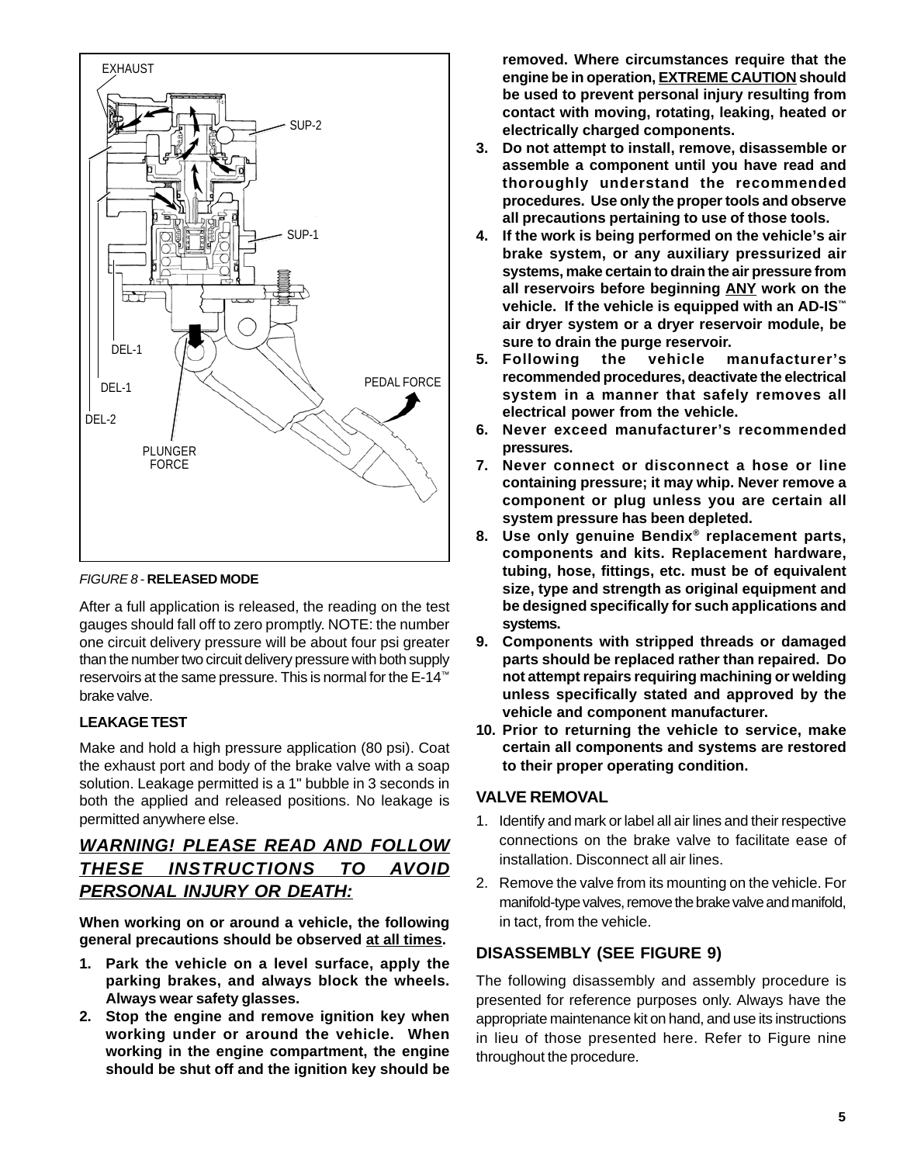

FIGURE 8 - **RELEASED MODE**

After a full application is released, the reading on the test gauges should fall off to zero promptly. NOTE: the number one circuit delivery pressure will be about four psi greater than the number two circuit delivery pressure with both supply reservoirs at the same pressure. This is normal for the E-14™ brake valve.

### **LEAKAGE TEST**

Make and hold a high pressure application (80 psi). Coat the exhaust port and body of the brake valve with a soap solution. Leakage permitted is a 1" bubble in 3 seconds in both the applied and released positions. No leakage is permitted anywhere else.

## **WARNING! PLEASE READ AND FOLLOW THESE INSTRUCTIONS TO AVOID PERSONAL INJURY OR DEATH:**

**When working on or around a vehicle, the following general precautions should be observed at all times.**

- **1. Park the vehicle on a level surface, apply the parking brakes, and always block the wheels. Always wear safety glasses.**
- **2. Stop the engine and remove ignition key when working under or around the vehicle. When working in the engine compartment, the engine should be shut off and the ignition key should be**

**removed. Where circumstances require that the engine be in operation, EXTREME CAUTION should be used to prevent personal injury resulting from contact with moving, rotating, leaking, heated or electrically charged components.**

- **3. Do not attempt to install, remove, disassemble or assemble a component until you have read and thoroughly understand the recommended procedures. Use only the proper tools and observe all precautions pertaining to use of those tools.**
- **4. If the work is being performed on the vehicle's air brake system, or any auxiliary pressurized air systems, make certain to drain the air pressure from all reservoirs before beginning ANY work on the vehicle. If the vehicle is equipped with an AD-IS™ air dryer system or a dryer reservoir module, be sure to drain the purge reservoir.**
- **5. Following the vehicle manufacturer's recommended procedures, deactivate the electrical system in a manner that safely removes all electrical power from the vehicle.**
- **6. Never exceed manufacturer's recommended pressures.**
- **7. Never connect or disconnect a hose or line containing pressure; it may whip. Never remove a component or plug unless you are certain all system pressure has been depleted.**
- **8. Use only genuine Bendix® replacement parts, components and kits. Replacement hardware, tubing, hose, fittings, etc. must be of equivalent size, type and strength as original equipment and be designed specifically for such applications and systems.**
- **9. Components with stripped threads or damaged parts should be replaced rather than repaired. Do not attempt repairs requiring machining or welding unless specifically stated and approved by the vehicle and component manufacturer.**
- **10. Prior to returning the vehicle to service, make certain all components and systems are restored to their proper operating condition.**

## **VALVE REMOVAL**

- 1. Identify and mark or label all air lines and their respective connections on the brake valve to facilitate ease of installation. Disconnect all air lines.
- 2. Remove the valve from its mounting on the vehicle. For manifold-type valves, remove the brake valve and manifold, in tact, from the vehicle.

## **DISASSEMBLY (SEE FIGURE 9)**

The following disassembly and assembly procedure is presented for reference purposes only. Always have the appropriate maintenance kit on hand, and use its instructions in lieu of those presented here. Refer to Figure nine throughout the procedure.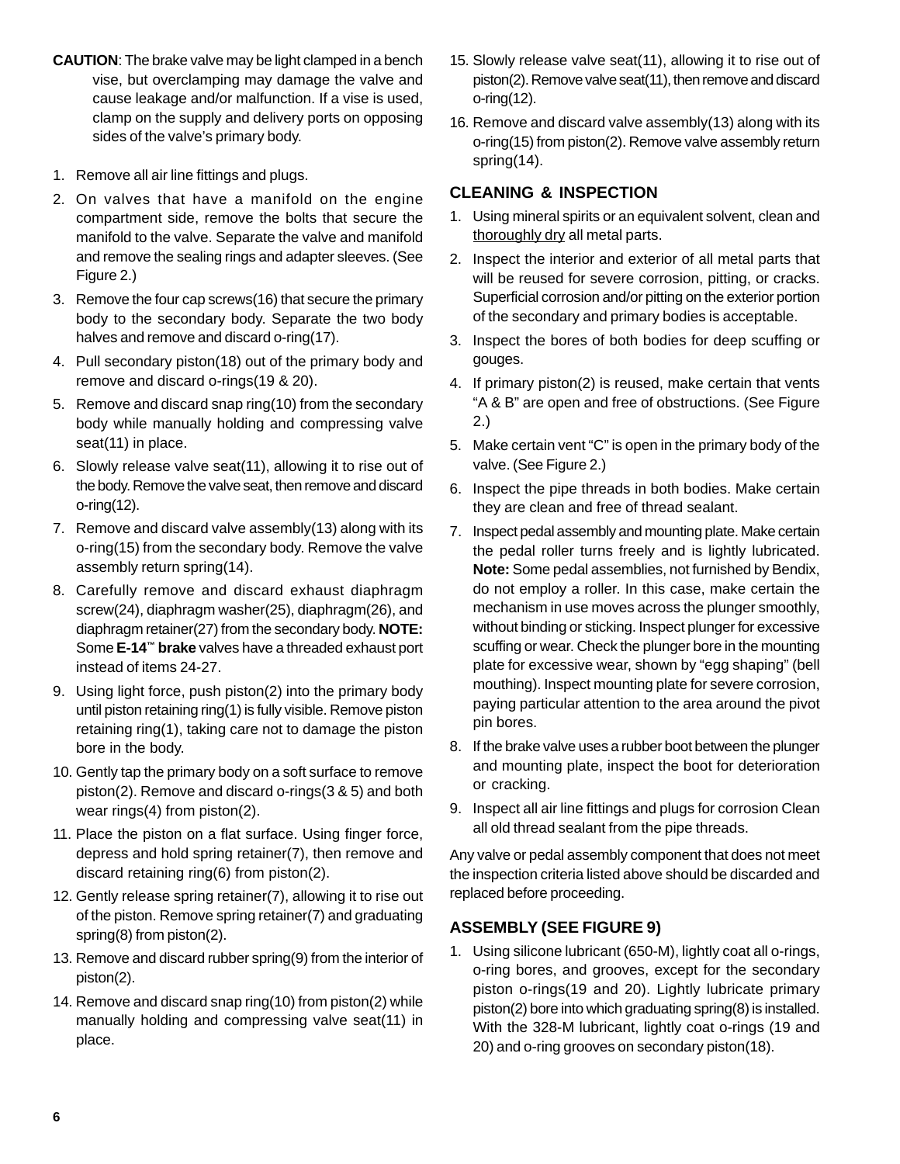- **CAUTION**: The brake valve may be light clamped in a bench vise, but overclamping may damage the valve and cause leakage and/or malfunction. If a vise is used, clamp on the supply and delivery ports on opposing sides of the valve's primary body.
- 1. Remove all air line fittings and plugs.
- 2. On valves that have a manifold on the engine compartment side, remove the bolts that secure the manifold to the valve. Separate the valve and manifold and remove the sealing rings and adapter sleeves. (See Figure 2.)
- 3. Remove the four cap screws(16) that secure the primary body to the secondary body. Separate the two body halves and remove and discard o-ring(17).
- 4. Pull secondary piston(18) out of the primary body and remove and discard o-rings(19 & 20).
- 5. Remove and discard snap ring(10) from the secondary body while manually holding and compressing valve seat(11) in place.
- 6. Slowly release valve seat(11), allowing it to rise out of the body. Remove the valve seat, then remove and discard o-ring(12).
- 7. Remove and discard valve assembly(13) along with its o-ring(15) from the secondary body. Remove the valve assembly return spring(14).
- 8. Carefully remove and discard exhaust diaphragm screw(24), diaphragm washer(25), diaphragm(26), and diaphragm retainer(27) from the secondary body. **NOTE:** Some **E-14™ brake** valves have a threaded exhaust port instead of items 24-27.
- 9. Using light force, push piston(2) into the primary body until piston retaining ring(1) is fully visible. Remove piston retaining ring(1), taking care not to damage the piston bore in the body.
- 10. Gently tap the primary body on a soft surface to remove piston(2). Remove and discard o-rings(3 & 5) and both wear rings(4) from piston(2).
- 11. Place the piston on a flat surface. Using finger force, depress and hold spring retainer(7), then remove and discard retaining ring(6) from piston(2).
- 12. Gently release spring retainer(7), allowing it to rise out of the piston. Remove spring retainer(7) and graduating spring(8) from piston(2).
- 13. Remove and discard rubber spring(9) from the interior of piston(2).
- 14. Remove and discard snap ring(10) from piston(2) while manually holding and compressing valve seat(11) in place.
- 15. Slowly release valve seat(11), allowing it to rise out of piston(2). Remove valve seat(11), then remove and discard o-ring(12).
- 16. Remove and discard valve assembly(13) along with its o-ring(15) from piston(2). Remove valve assembly return spring(14).

## **CLEANING & INSPECTION**

- 1. Using mineral spirits or an equivalent solvent, clean and thoroughly dry all metal parts.
- 2. Inspect the interior and exterior of all metal parts that will be reused for severe corrosion, pitting, or cracks. Superficial corrosion and/or pitting on the exterior portion of the secondary and primary bodies is acceptable.
- 3. Inspect the bores of both bodies for deep scuffing or gouges.
- 4. If primary piston(2) is reused, make certain that vents "A & B" are open and free of obstructions. (See Figure 2.)
- 5. Make certain vent "C" is open in the primary body of the valve. (See Figure 2.)
- 6. Inspect the pipe threads in both bodies. Make certain they are clean and free of thread sealant.
- 7. Inspect pedal assembly and mounting plate. Make certain the pedal roller turns freely and is lightly lubricated. **Note:** Some pedal assemblies, not furnished by Bendix, do not employ a roller. In this case, make certain the mechanism in use moves across the plunger smoothly, without binding or sticking. Inspect plunger for excessive scuffing or wear. Check the plunger bore in the mounting plate for excessive wear, shown by "egg shaping" (bell mouthing). Inspect mounting plate for severe corrosion, paying particular attention to the area around the pivot pin bores.
- 8. If the brake valve uses a rubber boot between the plunger and mounting plate, inspect the boot for deterioration or cracking.
- 9. Inspect all air line fittings and plugs for corrosion Clean all old thread sealant from the pipe threads.

Any valve or pedal assembly component that does not meet the inspection criteria listed above should be discarded and replaced before proceeding.

## **ASSEMBLY (SEE FIGURE 9)**

1. Using silicone lubricant (650-M), lightly coat all o-rings, o-ring bores, and grooves, except for the secondary piston o-rings(19 and 20). Lightly lubricate primary piston(2) bore into which graduating spring(8) is installed. With the 328-M lubricant, lightly coat o-rings (19 and 20) and o-ring grooves on secondary piston(18).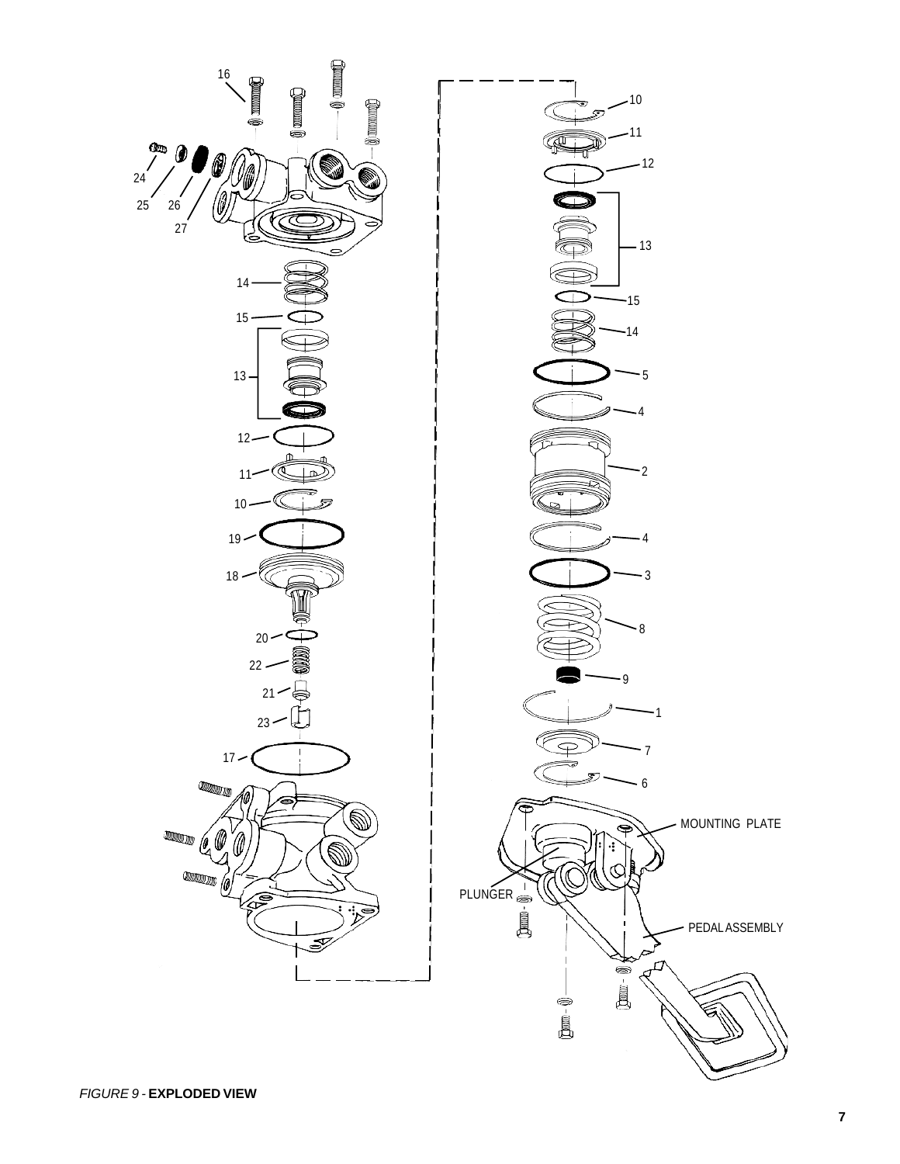